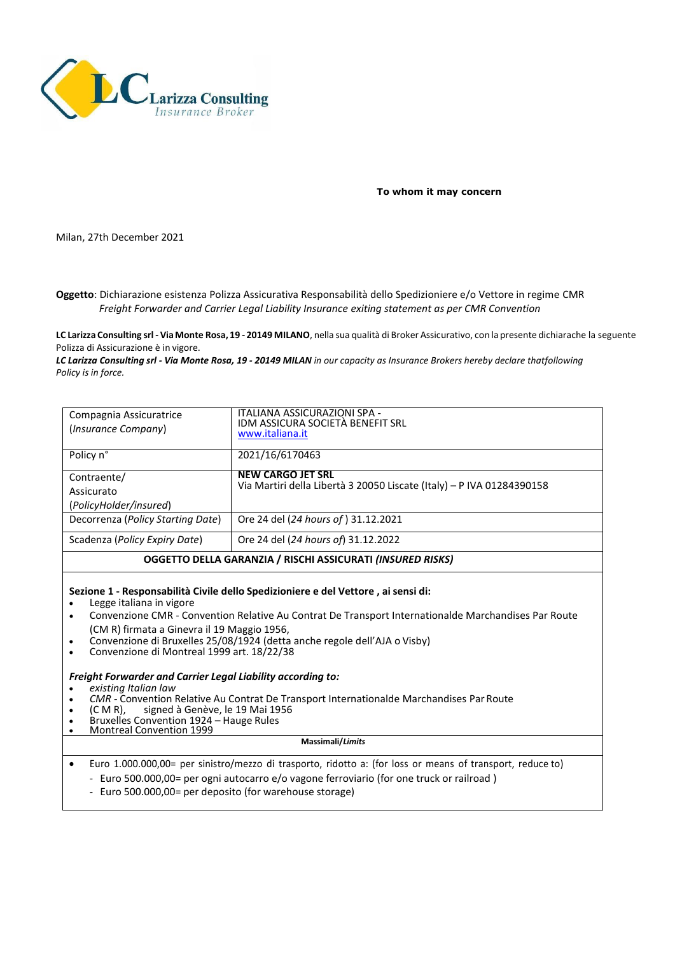

**To whom it may concern**

Milan, 27th December 2021

**Oggetto**: Dichiarazione esistenza Polizza Assicurativa Responsabilità dello Spedizioniere e/o Vettore in regime CMR *Freight Forwarder and Carrier Legal Liability Insurance exiting statement as per CMR Convention*

**LC Larizza Consulting srl - ViaMonte Rosa, 19 - 20149 MILANO**, nella sua qualità di Broker Assicurativo, con la presente dichiarache la seguente Polizza di Assicurazione è in vigore.

*LC Larizza Consulting srl - Via Monte Rosa, 19 - 20149 MILAN in our capacity as Insurance Brokers hereby declare thatfollowing Policy is in force.*

| Compagnia Assicuratrice<br>(Insurance Company)             | ITALIANA ASSICURAZIONI SPA -<br>IDM ASSICURA SOCIETÀ BENEFIT SRL<br>www.italiana.it               |
|------------------------------------------------------------|---------------------------------------------------------------------------------------------------|
| Policy n°                                                  | 2021/16/6170463                                                                                   |
| Contraente/                                                | <b>NEW CARGO JET SRL</b><br>Via Martiri della Libertà 3 20050 Liscate (Italy) - P IVA 01284390158 |
| Assicurato                                                 |                                                                                                   |
| (PolicyHolder/insured)                                     |                                                                                                   |
| Decorrenza (Policy Starting Date)                          | Ore 24 del (24 hours of) 31.12.2021                                                               |
| Scadenza (Policy Expiry Date)                              | Ore 24 del (24 hours of) 31.12.2022                                                               |
| OGGETTO DELLA GARANZIA / RISCHI ASSICURATI (INSURED RISKS) |                                                                                                   |

**Sezione 1 - Responsabilità Civile dello Spedizioniere e del Vettore , ai sensi di:**

- Legge italiana in vigore
- Convenzione CMR Convention Relative Au Contrat De Transport Internationalde Marchandises Par Route (CM R) firmata a Ginevra il 19 Maggio 1956,
- Convenzione di Bruxelles 25/08/1924 (detta anche regole dell'AJA o Visby)
- Convenzione di Montreal 1999 art. 18/22/38

## *Freight Forwarder and Carrier Legal Liability according to:*

• *existing Italian law*

- *CMR* Convention Relative Au Contrat De Transport Internationalde Marchandises Par Route<br>• (CMR), signed à Genève, le 19 Mai 1956
- (C M R), signed à Genève, le 19 Mai 1956
- Bruxelles Convention 1924 Hauge Rules
- Montreal Convention 1999

**Massimali/***Limits*

• Euro 1.000.000,00= per sinistro/mezzo di trasporto, ridotto a: (for loss or means of transport, reduce to)

- Euro 500.000,00= per ogni autocarro e/o vagone ferroviario (for one truck or railroad )
- Euro 500.000,00= per deposito (for warehouse storage)